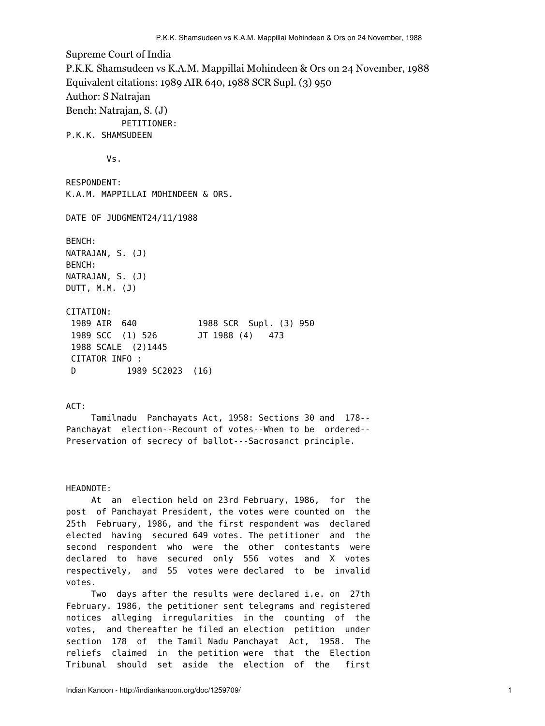Supreme Court of India P.K.K. Shamsudeen vs K.A.M. Mappillai Mohindeen & Ors on 24 November, 1988 Equivalent citations: 1989 AIR 640, 1988 SCR Supl. (3) 950 Author: S Natrajan Bench: Natrajan, S. (J) PETITIONER: P.K.K. SHAMSUDEEN Vs. RESPONDENT: K.A.M. MAPPILLAI MOHINDEEN & ORS. DATE OF JUDGMENT24/11/1988 BENCH: NATRAJAN, S. (J) BENCH: NATRAJAN, S. (J) DUTT, M.M. (J) CITATION: 1989 AIR 640 1988 SCR Supl. (3) 950 1989 SCC (1) 526 JT 1988 (4) 473 1988 SCALE (2)1445 CITATOR INFO : D 1989 SC2023 (16)

## ACT:

 Tamilnadu Panchayats Act, 1958: Sections 30 and 178-- Panchayat election--Recount of votes--When to be ordered-- Preservation of secrecy of ballot---Sacrosanct principle.

## HEADNOTE:

 At an election held on 23rd February, 1986, for the post of Panchayat President, the votes were counted on the 25th February, 1986, and the first respondent was declared elected having secured 649 votes. The petitioner and the second respondent who were the other contestants were declared to have secured only 556 votes and X votes respectively, and 55 votes were declared to be invalid votes.

 Two days after the results were declared i.e. on 27th February. 1986, the petitioner sent telegrams and registered notices alleging irregularities in the counting of the votes, and thereafter he filed an election petition under section 178 of the Tamil Nadu Panchayat Act, 1958. The reliefs claimed in the petition were that the Election Tribunal should set aside the election of the first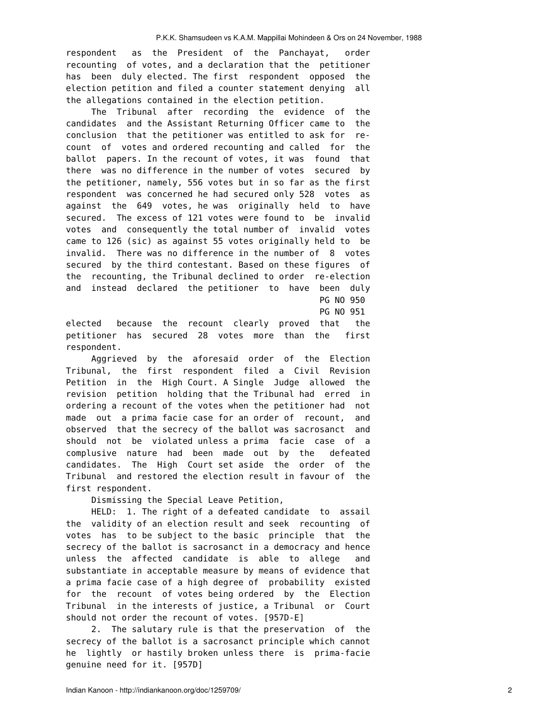respondent as the President of the Panchayat, order recounting of votes, and a declaration that the petitioner has been duly elected. The first respondent opposed the election petition and filed a counter statement denying all the allegations contained in the election petition.

 The Tribunal after recording the evidence of the candidates and the Assistant Returning Officer came to the conclusion that the petitioner was entitled to ask for recount of votes and ordered recounting and called for the ballot papers. In the recount of votes, it was found that there was no difference in the number of votes secured by the petitioner, namely, 556 votes but in so far as the first respondent was concerned he had secured only 528 votes as against the 649 votes, he was originally held to have secured. The excess of 121 votes were found to be invalid votes and consequently the total number of invalid votes came to 126 (sic) as against 55 votes originally held to be invalid. There was no difference in the number of 8 votes secured by the third contestant. Based on these figures of the recounting, the Tribunal declined to order re-election and instead declared the petitioner to have been duly PG NO 950

PG NO 951

elected because the recount clearly proved that the petitioner has secured 28 votes more than the first respondent.

 Aggrieved by the aforesaid order of the Election Tribunal, the first respondent filed a Civil Revision Petition in the High Court. A Single Judge allowed the revision petition holding that the Tribunal had erred in ordering a recount of the votes when the petitioner had not made out a prima facie case for an order of recount, and observed that the secrecy of the ballot was sacrosanct and should not be violated unless a prima facie case of a complusive nature had been made out by the defeated candidates. The High Court set aside the order of the Tribunal and restored the election result in favour of the first respondent.

Dismissing the Special Leave Petition,

 HELD: 1. The right of a defeated candidate to assail the validity of an election result and seek recounting of votes has to be subject to the basic principle that the secrecy of the ballot is sacrosanct in a democracy and hence unless the affected candidate is able to allege and substantiate in acceptable measure by means of evidence that a prima facie case of a high degree of probability existed for the recount of votes being ordered by the Election Tribunal in the interests of justice, a Tribunal or Court should not order the recount of votes. [957D-E]

 2. The salutary rule is that the preservation of the secrecy of the ballot is a sacrosanct principle which cannot he lightly or hastily broken unless there is prima-facie genuine need for it. [957D]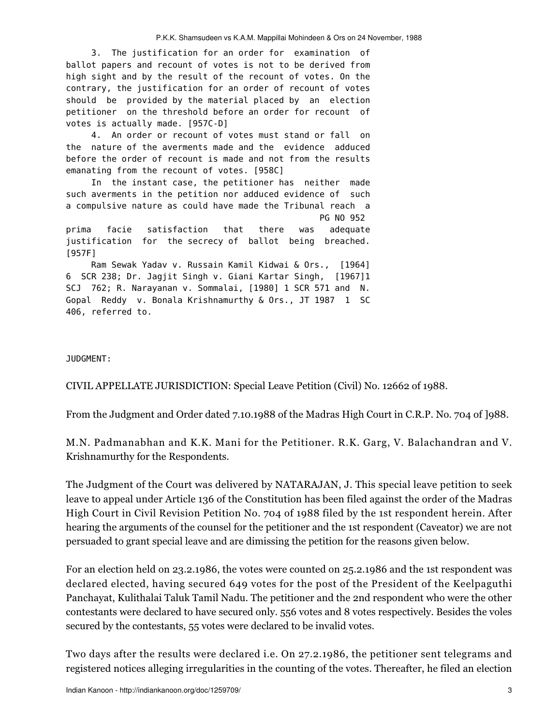3. The justification for an order for examination of ballot papers and recount of votes is not to be derived from high sight and by the result of the recount of votes. On the contrary, the justification for an order of recount of votes should be provided by the material placed by an election petitioner on the threshold before an order for recount of votes is actually made. [957C-D]

 4. An order or recount of votes must stand or fall on the nature of the averments made and the evidence adduced before the order of recount is made and not from the results emanating from the recount of votes. [958C]

 In the instant case, the petitioner has neither made such averments in the petition nor adduced evidence of such a compulsive nature as could have made the Tribunal reach a PG NO 952

prima facie satisfaction that there was adequate justification for the secrecy of ballot being breached. [957F]

Ram Sewak Yadav v. Russain Kamil Kidwai & Ors., [1964] 6 SCR 238; Dr. Jagjit Singh v. Giani Kartar Singh, [1967]1 SCJ 762; R. Narayanan v. Sommalai, [1980] 1 SCR 571 and N. Gopal Reddy v. Bonala Krishnamurthy & Ors., JT 1987 1 SC 406, referred to.

## JUDGMENT:

CIVIL APPELLATE JURISDICTION: Special Leave Petition (Civil) No. 12662 of 1988.

From the Judgment and Order dated 7.10.1988 of the Madras High Court in C.R.P. No. 704 of ]988.

M.N. Padmanabhan and K.K. Mani for the Petitioner. R.K. Garg, V. Balachandran and V. Krishnamurthy for the Respondents.

The Judgment of the Court was delivered by NATARAJAN, J. This special leave petition to seek leave to appeal under Article 136 of the Constitution has been filed against the order of the Madras High Court in Civil Revision Petition No. 704 of 1988 filed by the 1st respondent herein. After hearing the arguments of the counsel for the petitioner and the 1st respondent (Caveator) we are not persuaded to grant special leave and are dimissing the petition for the reasons given below.

For an election held on 23.2.1986, the votes were counted on 25.2.1986 and the 1st respondent was declared elected, having secured 649 votes for the post of the President of the Keelpaguthi Panchayat, Kulithalai Taluk Tamil Nadu. The petitioner and the 2nd respondent who were the other contestants were declared to have secured only. 556 votes and 8 votes respectively. Besides the voles secured by the contestants, 55 votes were declared to be invalid votes.

Two days after the results were declared i.e. On 27.2.1986, the petitioner sent telegrams and registered notices alleging irregularities in the counting of the votes. Thereafter, he filed an election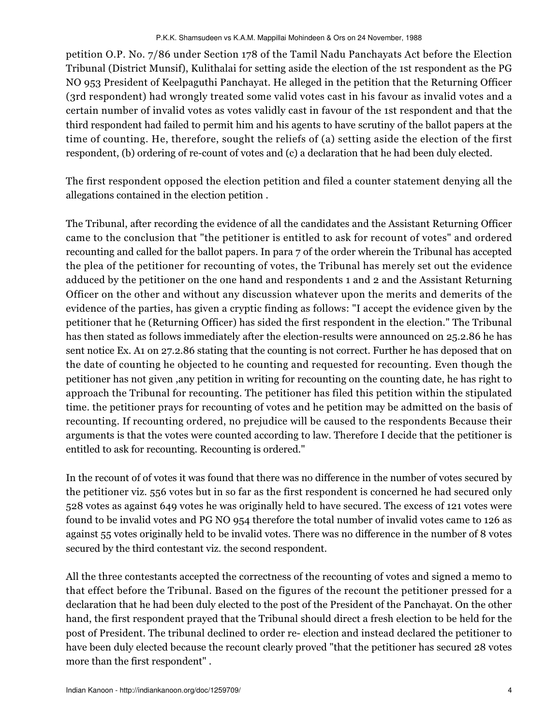petition O.P. No. 7/86 under Section 178 of the Tamil Nadu Panchayats Act before the Election Tribunal (District Munsif), Kulithalai for setting aside the election of the 1st respondent as the PG NO 953 President of Keelpaguthi Panchayat. He alleged in the petition that the Returning Officer (3rd respondent) had wrongly treated some valid votes cast in his favour as invalid votes and a certain number of invalid votes as votes validly cast in favour of the 1st respondent and that the third respondent had failed to permit him and his agents to have scrutiny of the ballot papers at the time of counting. He, therefore, sought the reliefs of (a) setting aside the election of the first respondent, (b) ordering of re-count of votes and (c) a declaration that he had been duly elected.

The first respondent opposed the election petition and filed a counter statement denying all the allegations contained in the election petition .

The Tribunal, after recording the evidence of all the candidates and the Assistant Returning Officer came to the conclusion that "the petitioner is entitled to ask for recount of votes" and ordered recounting and called for the ballot papers. In para 7 of the order wherein the Tribunal has accepted the plea of the petitioner for recounting of votes, the Tribunal has merely set out the evidence adduced by the petitioner on the one hand and respondents 1 and 2 and the Assistant Returning Officer on the other and without any discussion whatever upon the merits and demerits of the evidence of the parties, has given a cryptic finding as follows: "I accept the evidence given by the petitioner that he (Returning Officer) has sided the first respondent in the election." The Tribunal has then stated as follows immediately after the election-results were announced on 25.2.86 he has sent notice Ex. A1 on 27.2.86 stating that the counting is not correct. Further he has deposed that on the date of counting he objected to he counting and requested for recounting. Even though the petitioner has not given ,any petition in writing for recounting on the counting date, he has right to approach the Tribunal for recounting. The petitioner has filed this petition within the stipulated time. the petitioner prays for recounting of votes and he petition may be admitted on the basis of recounting. If recounting ordered, no prejudice will be caused to the respondents Because their arguments is that the votes were counted according to law. Therefore I decide that the petitioner is entitled to ask for recounting. Recounting is ordered."

In the recount of of votes it was found that there was no difference in the number of votes secured by the petitioner viz. 556 votes but in so far as the first respondent is concerned he had secured only 528 votes as against 649 votes he was originally held to have secured. The excess of 121 votes were found to be invalid votes and PG NO 954 therefore the total number of invalid votes came to 126 as against 55 votes originally held to be invalid votes. There was no difference in the number of 8 votes secured by the third contestant viz. the second respondent.

All the three contestants accepted the correctness of the recounting of votes and signed a memo to that effect before the Tribunal. Based on the figures of the recount the petitioner pressed for a declaration that he had been duly elected to the post of the President of the Panchayat. On the other hand, the first respondent prayed that the Tribunal should direct a fresh election to be held for the post of President. The tribunal declined to order re- election and instead declared the petitioner to have been duly elected because the recount clearly proved "that the petitioner has secured 28 votes more than the first respondent" .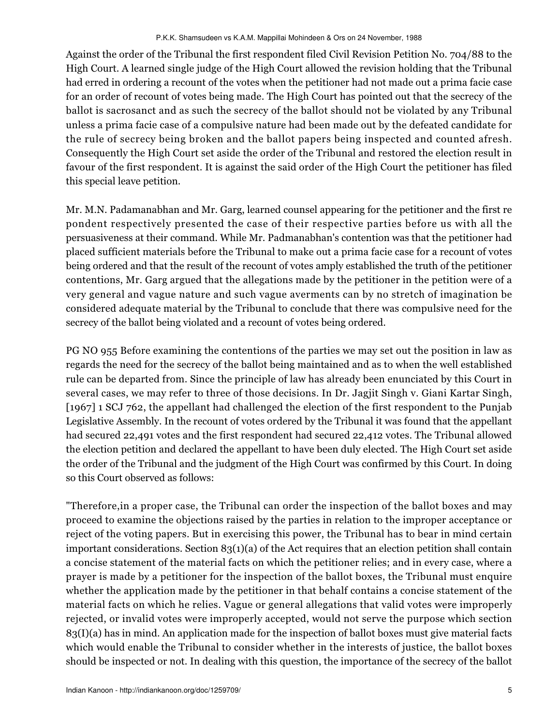Against the order of the Tribunal the first respondent filed Civil Revision Petition No. 704/88 to the High Court. A learned single judge of the High Court allowed the revision holding that the Tribunal had erred in ordering a recount of the votes when the petitioner had not made out a prima facie case for an order of recount of votes being made. The High Court has pointed out that the secrecy of the ballot is sacrosanct and as such the secrecy of the ballot should not be violated by any Tribunal unless a prima facie case of a compulsive nature had been made out by the defeated candidate for the rule of secrecy being broken and the ballot papers being inspected and counted afresh. Consequently the High Court set aside the order of the Tribunal and restored the election result in favour of the first respondent. It is against the said order of the High Court the petitioner has filed this special leave petition.

Mr. M.N. Padamanabhan and Mr. Garg, learned counsel appearing for the petitioner and the first re pondent respectively presented the case of their respective parties before us with all the persuasiveness at their command. While Mr. Padmanabhan's contention was that the petitioner had placed sufficient materials before the Tribunal to make out a prima facie case for a recount of votes being ordered and that the result of the recount of votes amply established the truth of the petitioner contentions, Mr. Garg argued that the allegations made by the petitioner in the petition were of a very general and vague nature and such vague averments can by no stretch of imagination be considered adequate material by the Tribunal to conclude that there was compulsive need for the secrecy of the ballot being violated and a recount of votes being ordered.

PG NO 955 Before examining the contentions of the parties we may set out the position in law as regards the need for the secrecy of the ballot being maintained and as to when the well established rule can be departed from. Since the principle of law has already been enunciated by this Court in several cases, we may refer to three of those decisions. In Dr. Jagjit Singh v. Giani Kartar Singh, [1967] 1 SCJ 762, the appellant had challenged the election of the first respondent to the Punjab Legislative Assembly. In the recount of votes ordered by the Tribunal it was found that the appellant had secured 22,491 votes and the first respondent had secured 22,412 votes. The Tribunal allowed the election petition and declared the appellant to have been duly elected. The High Court set aside the order of the Tribunal and the judgment of the High Court was confirmed by this Court. In doing so this Court observed as follows:

"Therefore,in a proper case, the Tribunal can order the inspection of the ballot boxes and may proceed to examine the objections raised by the parties in relation to the improper acceptance or reject of the voting papers. But in exercising this power, the Tribunal has to bear in mind certain important considerations. Section 83(1)(a) of the Act requires that an election petition shall contain a concise statement of the material facts on which the petitioner relies; and in every case, where a prayer is made by a petitioner for the inspection of the ballot boxes, the Tribunal must enquire whether the application made by the petitioner in that behalf contains a concise statement of the material facts on which he relies. Vague or general allegations that valid votes were improperly rejected, or invalid votes were improperly accepted, would not serve the purpose which section 83(I)(a) has in mind. An application made for the inspection of ballot boxes must give material facts which would enable the Tribunal to consider whether in the interests of justice, the ballot boxes should be inspected or not. In dealing with this question, the importance of the secrecy of the ballot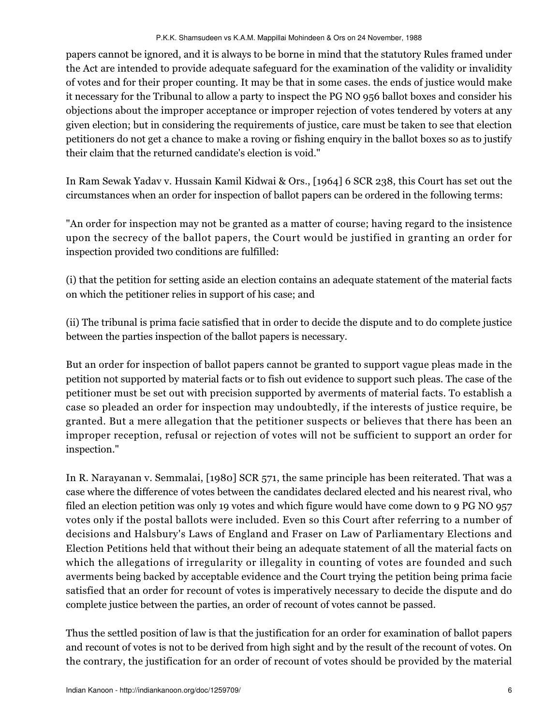papers cannot be ignored, and it is always to be borne in mind that the statutory Rules framed under the Act are intended to provide adequate safeguard for the examination of the validity or invalidity of votes and for their proper counting. It may be that in some cases. the ends of justice would make it necessary for the Tribunal to allow a party to inspect the PG NO 956 ballot boxes and consider his objections about the improper acceptance or improper rejection of votes tendered by voters at any given election; but in considering the requirements of justice, care must be taken to see that election petitioners do not get a chance to make a roving or fishing enquiry in the ballot boxes so as to justify their claim that the returned candidate's election is void."

In Ram Sewak Yadav v. Hussain Kamil Kidwai & Ors., [1964] 6 SCR 238, this Court has set out the circumstances when an order for inspection of ballot papers can be ordered in the following terms:

"An order for inspection may not be granted as a matter of course; having regard to the insistence upon the secrecy of the ballot papers, the Court would be justified in granting an order for inspection provided two conditions are fulfilled:

(i) that the petition for setting aside an election contains an adequate statement of the material facts on which the petitioner relies in support of his case; and

(ii) The tribunal is prima facie satisfied that in order to decide the dispute and to do complete justice between the parties inspection of the ballot papers is necessary.

But an order for inspection of ballot papers cannot be granted to support vague pleas made in the petition not supported by material facts or to fish out evidence to support such pleas. The case of the petitioner must be set out with precision supported by averments of material facts. To establish a case so pleaded an order for inspection may undoubtedly, if the interests of justice require, be granted. But a mere allegation that the petitioner suspects or believes that there has been an improper reception, refusal or rejection of votes will not be sufficient to support an order for inspection."

In R. Narayanan v. Semmalai, [1980] SCR 571, the same principle has been reiterated. That was a case where the difference of votes between the candidates declared elected and his nearest rival, who filed an election petition was only 19 votes and which figure would have come down to 9 PG NO 957 votes only if the postal ballots were included. Even so this Court after referring to a number of decisions and Halsbury's Laws of England and Fraser on Law of Parliamentary Elections and Election Petitions held that without their being an adequate statement of all the material facts on which the allegations of irregularity or illegality in counting of votes are founded and such averments being backed by acceptable evidence and the Court trying the petition being prima facie satisfied that an order for recount of votes is imperatively necessary to decide the dispute and do complete justice between the parties, an order of recount of votes cannot be passed.

Thus the settled position of law is that the justification for an order for examination of ballot papers and recount of votes is not to be derived from high sight and by the result of the recount of votes. On the contrary, the justification for an order of recount of votes should be provided by the material